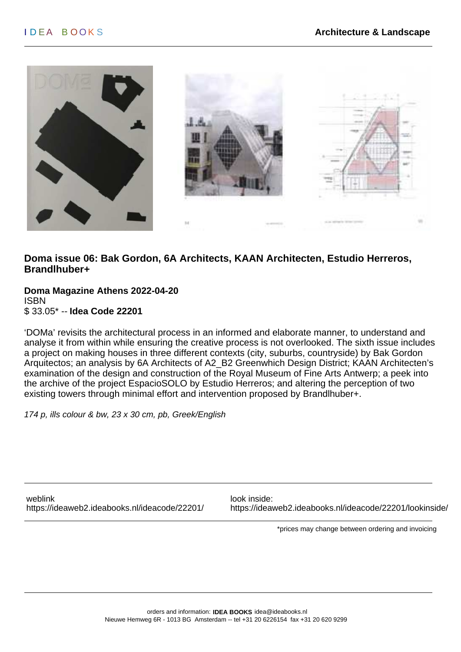

### **Doma issue 06: Bak Gordon, 6A Architects, KAAN Architecten, Estudio Herreros, Brandlhuber+**

**Doma Magazine Athens 2022-04-20** ISBN \$ 33.05\* -- **Idea Code 22201**

'DOMa' revisits the architectural process in an informed and elaborate manner, to understand and analyse it from within while ensuring the creative process is not overlooked. The sixth issue includes a project on making houses in three different contexts (city, suburbs, countryside) by Bak Gordon Arquitectos; an analysis by 6A Architects of A2\_B2 Greenwhich Design District; KAAN Architecten's examination of the design and construction of the Royal Museum of Fine Arts Antwerp; a peek into the archive of the project EspacioSOLO by Estudio Herreros; and altering the perception of two existing towers through minimal effort and intervention proposed by Brandlhuber+.

174 p, ills colour & bw, 23 x 30 cm, pb, Greek/English

weblink look inside:

<https://ideaweb2.ideabooks.nl/ideacode/22201/> <https://ideaweb2.ideabooks.nl/ideacode/22201/lookinside/>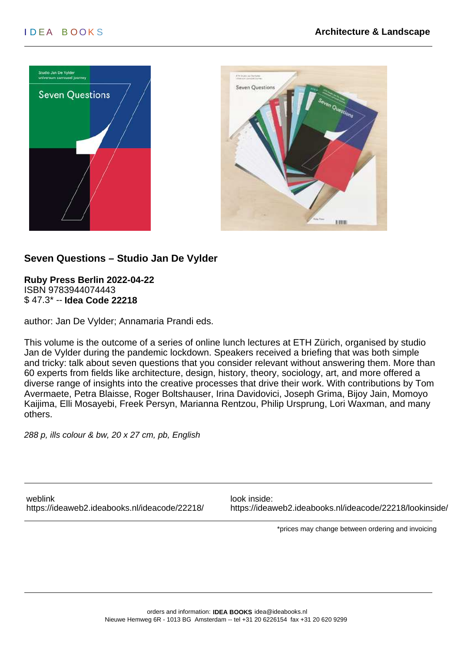



# **Seven Questions – Studio Jan De Vylder**

**Ruby Press Berlin 2022-04-22** ISBN 9783944074443 \$ 47.3\* -- **Idea Code 22218**

author: Jan De Vylder; Annamaria Prandi eds.

This volume is the outcome of a series of online lunch lectures at ETH Zürich, organised by studio Jan de Vylder during the pandemic lockdown. Speakers received a briefing that was both simple and tricky: talk about seven questions that you consider relevant without answering them. More than 60 experts from fields like architecture, design, history, theory, sociology, art, and more offered a diverse range of insights into the creative processes that drive their work. With contributions by Tom Avermaete, Petra Blaisse, Roger Boltshauser, Irina Davidovici, Joseph Grima, Bijoy Jain, Momoyo Kaijima, Elli Mosayebi, Freek Persyn, Marianna Rentzou, Philip Ursprung, Lori Waxman, and many others.

288 p, ills colour & bw, 20 x 27 cm, pb, English

weblink look inside:

<https://ideaweb2.ideabooks.nl/ideacode/22218/> <https://ideaweb2.ideabooks.nl/ideacode/22218/lookinside/>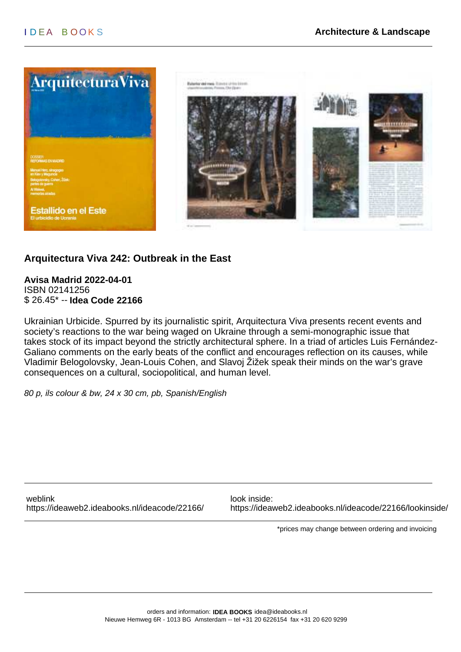

# **Arquitectura Viva 242: Outbreak in the East**

**Avisa Madrid 2022-04-01** ISBN 02141256 \$ 26.45\* -- **Idea Code 22166**

Ukrainian Urbicide. Spurred by its journalistic spirit, Arquitectura Viva presents recent events and society's reactions to the war being waged on Ukraine through a semi-monographic issue that takes stock of its impact beyond the strictly architectural sphere. In a triad of articles Luis Fernández-Galiano comments on the early beats of the conflict and encourages reflection on its causes, while Vladimir Belogolovsky, Jean-Louis Cohen, and Slavoj Žižek speak their minds on the war's grave consequences on a cultural, sociopolitical, and human level.

80 p, ils colour & bw, 24 x 30 cm, pb, Spanish/English

weblink look inside:

<https://ideaweb2.ideabooks.nl/ideacode/22166/> <https://ideaweb2.ideabooks.nl/ideacode/22166/lookinside/>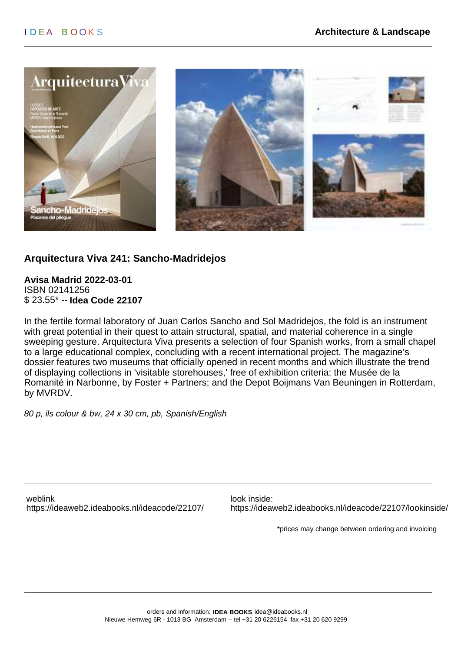

# **Arquitectura Viva 241: Sancho-Madridejos**

**Avisa Madrid 2022-03-01** ISBN 02141256 \$ 23.55\* -- **Idea Code 22107**

In the fertile formal laboratory of Juan Carlos Sancho and Sol Madridejos, the fold is an instrument with great potential in their quest to attain structural, spatial, and material coherence in a single sweeping gesture. Arquitectura Viva presents a selection of four Spanish works, from a small chapel to a large educational complex, concluding with a recent international project. The magazine's dossier features two museums that officially opened in recent months and which illustrate the trend of displaying collections in 'visitable storehouses,' free of exhibition criteria: the Musée de la Romanité in Narbonne, by Foster + Partners; and the Depot Boijmans Van Beuningen in Rotterdam, by MVRDV.

80 p, ils colour & bw, 24 x 30 cm, pb, Spanish/English

weblink look inside:

<https://ideaweb2.ideabooks.nl/ideacode/22107/> <https://ideaweb2.ideabooks.nl/ideacode/22107/lookinside/>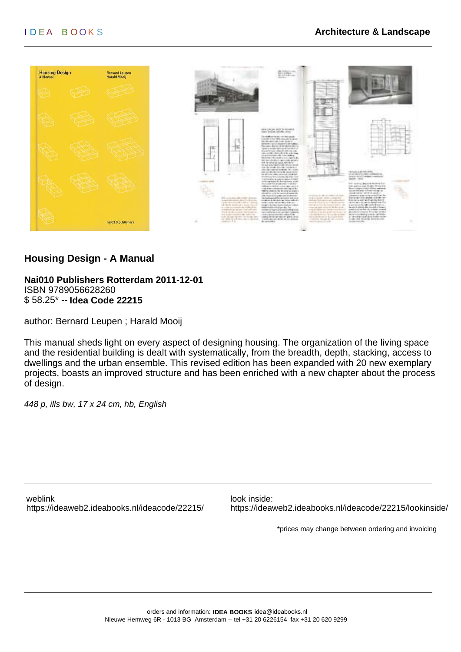

### **Housing Design - A Manual**

#### **Nai010 Publishers Rotterdam 2011-12-01** ISBN 9789056628260 \$ 58.25\* -- **Idea Code 22215**

author: Bernard Leupen ; Harald Mooij

This manual sheds light on every aspect of designing housing. The organization of the living space and the residential building is dealt with systematically, from the breadth, depth, stacking, access to dwellings and the urban ensemble. This revised edition has been expanded with 20 new exemplary projects, boasts an improved structure and has been enriched with a new chapter about the process of design.

448 p, ills bw, 17 x 24 cm, hb, English

weblink look inside:

<https://ideaweb2.ideabooks.nl/ideacode/22215/> <https://ideaweb2.ideabooks.nl/ideacode/22215/lookinside/>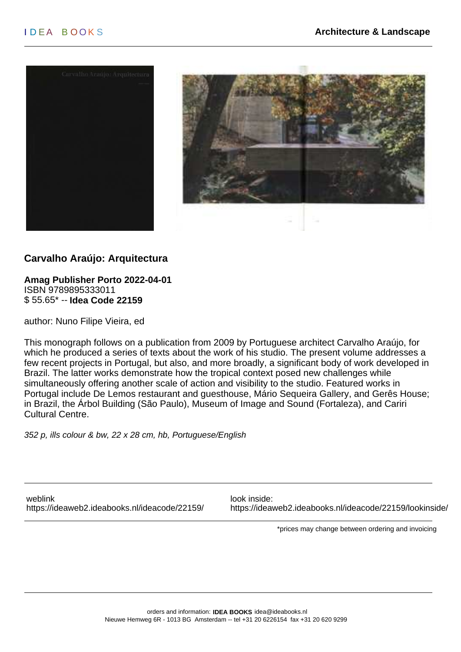



# **Carvalho Araújo: Arquitectura**

**Amag Publisher Porto 2022-04-01** ISBN 9789895333011 \$ 55.65\* -- **Idea Code 22159**

author: Nuno Filipe Vieira, ed

This monograph follows on a publication from 2009 by Portuguese architect Carvalho Araújo, for which he produced a series of texts about the work of his studio. The present volume addresses a few recent projects in Portugal, but also, and more broadly, a significant body of work developed in Brazil. The latter works demonstrate how the tropical context posed new challenges while simultaneously offering another scale of action and visibility to the studio. Featured works in Portugal include De Lemos restaurant and guesthouse, Mário Sequeira Gallery, and Gerês House; in Brazil, the Árbol Building (São Paulo), Museum of Image and Sound (Fortaleza), and Cariri Cultural Centre.

352 p, ills colour & bw, 22 x 28 cm, hb, Portuguese/English

weblink look inside:

<https://ideaweb2.ideabooks.nl/ideacode/22159/> <https://ideaweb2.ideabooks.nl/ideacode/22159/lookinside/>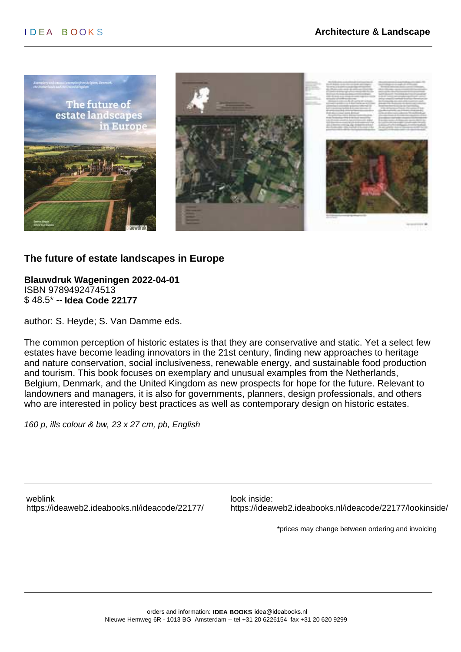

### **The future of estate landscapes in Europe**

**Blauwdruk Wageningen 2022-04-01** ISBN 9789492474513 \$ 48.5\* -- **Idea Code 22177**

author: S. Heyde; S. Van Damme eds.

The common perception of historic estates is that they are conservative and static. Yet a select few estates have become leading innovators in the 21st century, finding new approaches to heritage and nature conservation, social inclusiveness, renewable energy, and sustainable food production and tourism. This book focuses on exemplary and unusual examples from the Netherlands, Belgium, Denmark, and the United Kingdom as new prospects for hope for the future. Relevant to landowners and managers, it is also for governments, planners, design professionals, and others who are interested in policy best practices as well as contemporary design on historic estates.

160 p, ills colour & bw, 23 x 27 cm, pb, English

weblink look inside:

<https://ideaweb2.ideabooks.nl/ideacode/22177/> <https://ideaweb2.ideabooks.nl/ideacode/22177/lookinside/>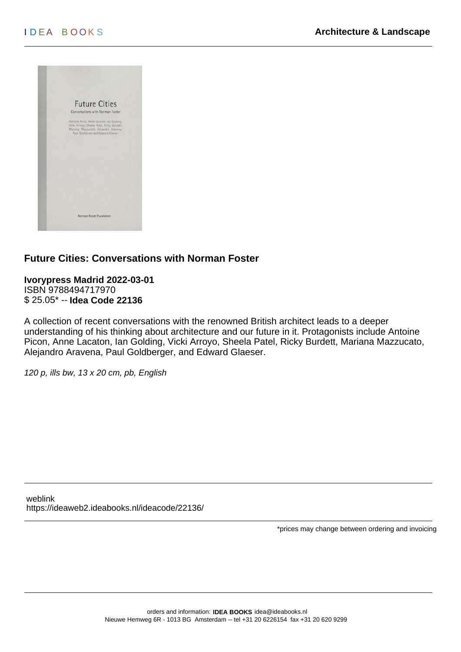

# **Future Cities: Conversations with Norman Foster**

**Ivorypress Madrid 2022-03-01** ISBN 9788494717970 \$ 25.05\* -- **Idea Code 22136**

A collection of recent conversations with the renowned British architect leads to a deeper understanding of his thinking about architecture and our future in it. Protagonists include Antoine Picon, Anne Lacaton, Ian Golding, Vicki Arroyo, Sheela Patel, Ricky Burdett, Mariana Mazzucato, Alejandro Aravena, Paul Goldberger, and Edward Glaeser.

120 p, ills bw, 13 x 20 cm, pb, English

weblink <https://ideaweb2.ideabooks.nl/ideacode/22136/>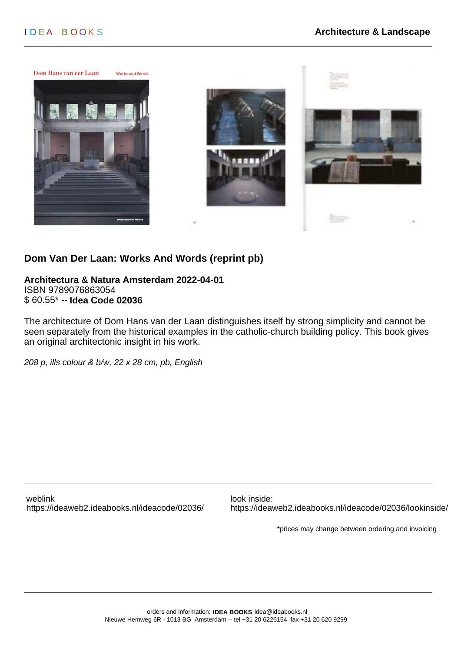

# **Dom Van Der Laan: Works And Words (reprint pb)**

**Architectura & Natura Amsterdam 2022-04-01** ISBN 9789076863054 \$ 60.55\* -- **Idea Code 02036**

The architecture of Dom Hans van der Laan distinguishes itself by strong simplicity and cannot be seen separately from the historical examples in the catholic-church building policy. This book gives an original architectonic insight in his work.

208 p, ills colour & b/w, 22 x 28 cm, pb, English

weblink look inside:

<https://ideaweb2.ideabooks.nl/ideacode/02036/> <https://ideaweb2.ideabooks.nl/ideacode/02036/lookinside/>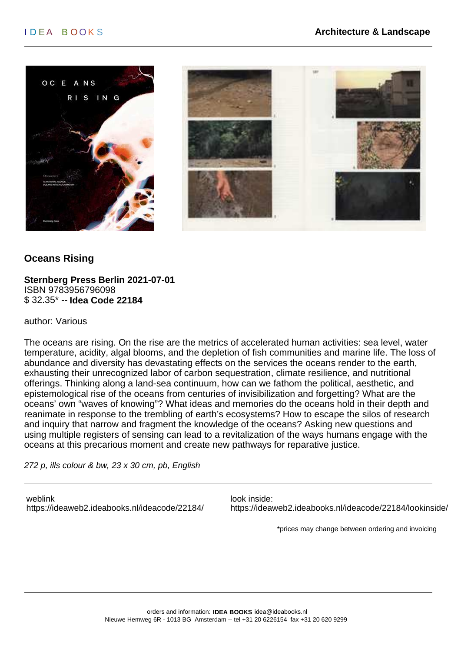



# **Oceans Rising**

**Sternberg Press Berlin 2021-07-01** ISBN 9783956796098 \$ 32.35\* -- **Idea Code 22184**

author: Various

The oceans are rising. On the rise are the metrics of accelerated human activities: sea level, water temperature, acidity, algal blooms, and the depletion of fish communities and marine life. The loss of abundance and diversity has devastating effects on the services the oceans render to the earth, exhausting their unrecognized labor of carbon sequestration, climate resilience, and nutritional offerings. Thinking along a land-sea continuum, how can we fathom the political, aesthetic, and epistemological rise of the oceans from centuries of invisibilization and forgetting? What are the oceans' own "waves of knowing"? What ideas and memories do the oceans hold in their depth and reanimate in response to the trembling of earth's ecosystems? How to escape the silos of research and inquiry that narrow and fragment the knowledge of the oceans? Asking new questions and using multiple registers of sensing can lead to a revitalization of the ways humans engage with the oceans at this precarious moment and create new pathways for reparative justice.

272 p, ills colour & bw, 23 x 30 cm, pb, English

weblink look inside: <https://ideaweb2.ideabooks.nl/ideacode/22184/> <https://ideaweb2.ideabooks.nl/ideacode/22184/lookinside/>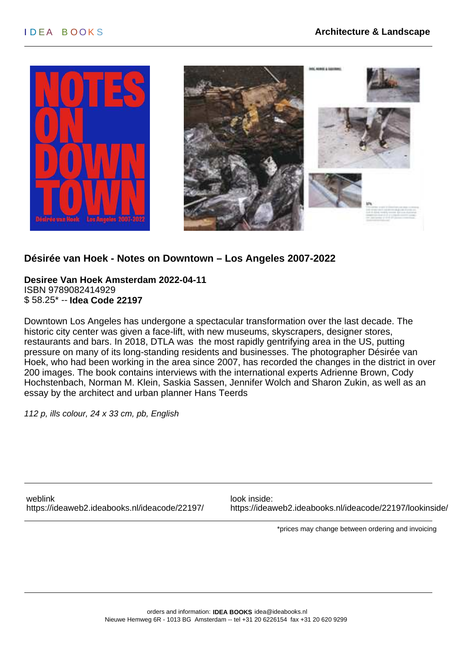

### **Désirée van Hoek - Notes on Downtown – Los Angeles 2007-2022**

**Desiree Van Hoek Amsterdam 2022-04-11** ISBN 9789082414929 \$ 58.25\* -- **Idea Code 22197**

Downtown Los Angeles has undergone a spectacular transformation over the last decade. The historic city center was given a face-lift, with new museums, skyscrapers, designer stores, restaurants and bars. In 2018, DTLA was the most rapidly gentrifying area in the US, putting pressure on many of its long-standing residents and businesses. The photographer Désirée van Hoek, who had been working in the area since 2007, has recorded the changes in the district in over 200 images. The book contains interviews with the international experts Adrienne Brown, Cody Hochstenbach, Norman M. Klein, Saskia Sassen, Jennifer Wolch and Sharon Zukin, as well as an essay by the architect and urban planner Hans Teerds

112 p, ills colour, 24 x 33 cm, pb, English

weblink look inside:

<https://ideaweb2.ideabooks.nl/ideacode/22197/> <https://ideaweb2.ideabooks.nl/ideacode/22197/lookinside/>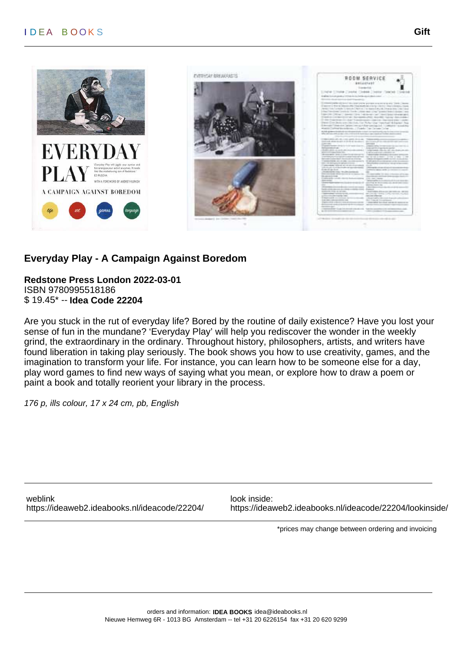



# **Everyday Play - A Campaign Against Boredom**

#### **Redstone Press London 2022-03-01** ISBN 9780995518186 \$ 19.45\* -- **Idea Code 22204**

Are you stuck in the rut of everyday life? Bored by the routine of daily existence? Have you lost your sense of fun in the mundane? 'Everyday Play' will help you rediscover the wonder in the weekly grind, the extraordinary in the ordinary. Throughout history, philosophers, artists, and writers have found liberation in taking play seriously. The book shows you how to use creativity, games, and the imagination to transform your life. For instance, you can learn how to be someone else for a day, play word games to find new ways of saying what you mean, or explore how to draw a poem or paint a book and totally reorient your library in the process.

176 p, ills colour, 17 x 24 cm, pb, English

weblink look inside:

<https://ideaweb2.ideabooks.nl/ideacode/22204/> <https://ideaweb2.ideabooks.nl/ideacode/22204/lookinside/>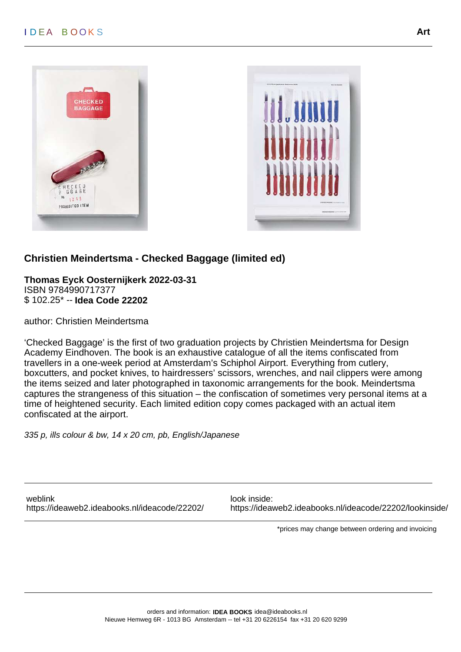



# **Christien Meindertsma - Checked Baggage (limited ed)**

**Thomas Eyck Oosternijkerk 2022-03-31** ISBN 9784990717377 \$ 102.25\* -- **Idea Code 22202**

author: Christien Meindertsma

'Checked Baggage' is the first of two graduation projects by Christien Meindertsma for Design Academy Eindhoven. The book is an exhaustive catalogue of all the items confiscated from travellers in a one-week period at Amsterdam's Schiphol Airport. Everything from cutlery, boxcutters, and pocket knives, to hairdressers' scissors, wrenches, and nail clippers were among the items seized and later photographed in taxonomic arrangements for the book. Meindertsma captures the strangeness of this situation – the confiscation of sometimes very personal items at a time of heightened security. Each limited edition copy comes packaged with an actual item confiscated at the airport.

335 p, ills colour & bw, 14 x 20 cm, pb, English/Japanese

weblink look inside:

<https://ideaweb2.ideabooks.nl/ideacode/22202/> <https://ideaweb2.ideabooks.nl/ideacode/22202/lookinside/>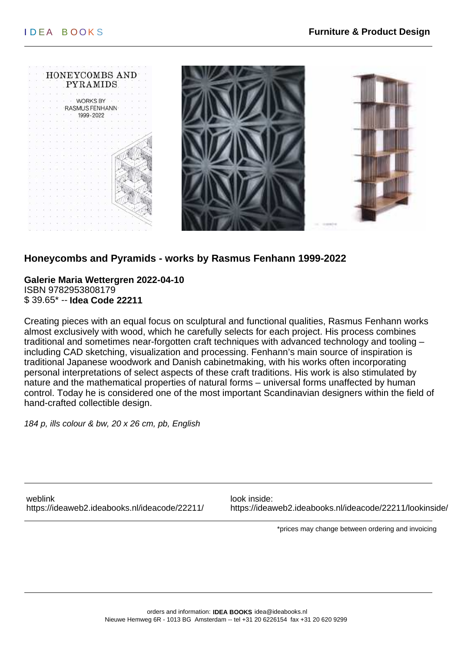

# **Honeycombs and Pyramids - works by Rasmus Fenhann 1999-2022**

**Galerie Maria Wettergren 2022-04-10** ISBN 9782953808179 \$ 39.65\* -- **Idea Code 22211**

Creating pieces with an equal focus on sculptural and functional qualities, Rasmus Fenhann works almost exclusively with wood, which he carefully selects for each project. His process combines traditional and sometimes near-forgotten craft techniques with advanced technology and tooling – including CAD sketching, visualization and processing. Fenhann's main source of inspiration is traditional Japanese woodwork and Danish cabinetmaking, with his works often incorporating personal interpretations of select aspects of these craft traditions. His work is also stimulated by nature and the mathematical properties of natural forms – universal forms unaffected by human control. Today he is considered one of the most important Scandinavian designers within the field of hand-crafted collectible design.

184 p, ills colour & bw, 20 x 26 cm, pb, English

weblink look inside:

<https://ideaweb2.ideabooks.nl/ideacode/22211/> <https://ideaweb2.ideabooks.nl/ideacode/22211/lookinside/>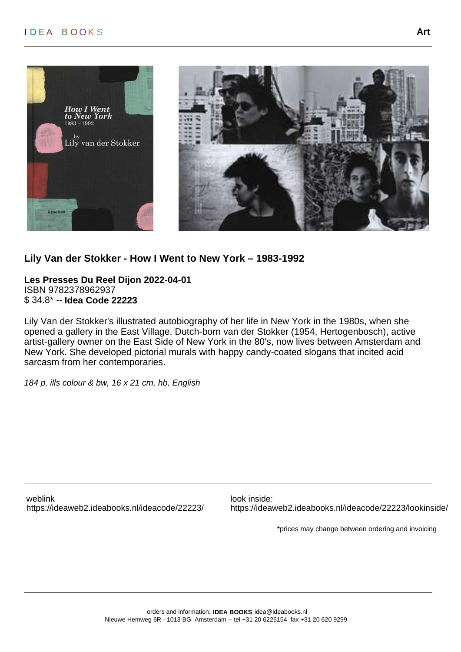



### **Lily Van der Stokker - How I Went to New York – 1983-1992**

**Les Presses Du Reel Dijon 2022-04-01** ISBN 9782378962937 \$ 34.8\* -- **Idea Code 22223**

Lily Van der Stokker's illustrated autobiography of her life in New York in the 1980s, when she opened a gallery in the East Village. Dutch-born van der Stokker (1954, Hertogenbosch), active artist-gallery owner on the East Side of New York in the 80's, now lives between Amsterdam and New York. She developed pictorial murals with happy candy-coated slogans that incited acid sarcasm from her contemporaries.

184 p, ills colour & bw, 16 x 21 cm, hb, English

weblink look inside:

<https://ideaweb2.ideabooks.nl/ideacode/22223/> <https://ideaweb2.ideabooks.nl/ideacode/22223/lookinside/>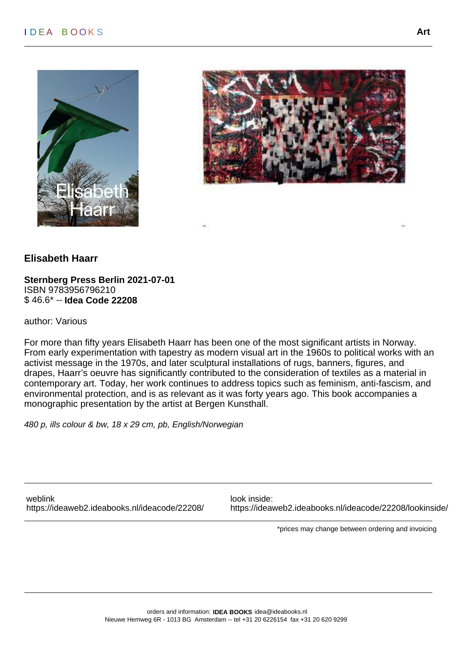



### **Elisabeth Haarr**

**Sternberg Press Berlin 2021-07-01** ISBN 9783956796210 \$ 46.6\* -- **Idea Code 22208**

author: Various

For more than fifty years Elisabeth Haarr has been one of the most significant artists in Norway. From early experimentation with tapestry as modern visual art in the 1960s to political works with an activist message in the 1970s, and later sculptural installations of rugs, banners, figures, and drapes, Haarr's oeuvre has significantly contributed to the consideration of textiles as a material in contemporary art. Today, her work continues to address topics such as feminism, anti-fascism, and environmental protection, and is as relevant as it was forty years ago. This book accompanies a monographic presentation by the artist at Bergen Kunsthall.

480 p, ills colour & bw, 18 x 29 cm, pb, English/Norwegian

weblink look inside:

<https://ideaweb2.ideabooks.nl/ideacode/22208/> <https://ideaweb2.ideabooks.nl/ideacode/22208/lookinside/>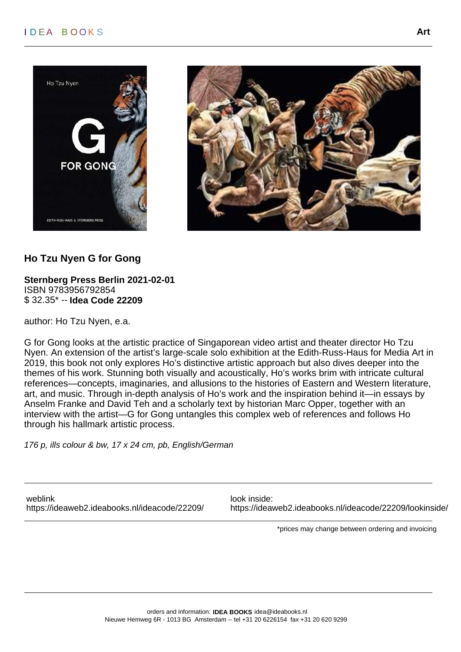# I D EA B O O K S **Art**





### **Ho Tzu Nyen G for Gong**

**Sternberg Press Berlin 2021-02-01** ISBN 9783956792854 \$ 32.35\* -- **Idea Code 22209**

author: Ho Tzu Nyen, e.a.

G for Gong looks at the artistic practice of Singaporean video artist and theater director Ho Tzu Nyen. An extension of the artist's large-scale solo exhibition at the Edith-Russ-Haus for Media Art in 2019, this book not only explores Ho's distinctive artistic approach but also dives deeper into the themes of his work. Stunning both visually and acoustically, Ho's works brim with intricate cultural references—concepts, imaginaries, and allusions to the histories of Eastern and Western literature, art, and music. Through in-depth analysis of Ho's work and the inspiration behind it—in essays by Anselm Franke and David Teh and a scholarly text by historian Marc Opper, together with an interview with the artist—G for Gong untangles this complex web of references and follows Ho through his hallmark artistic process.

176 p, ills colour & bw, 17 x 24 cm, pb, English/German

weblink look inside:

<https://ideaweb2.ideabooks.nl/ideacode/22209/> <https://ideaweb2.ideabooks.nl/ideacode/22209/lookinside/>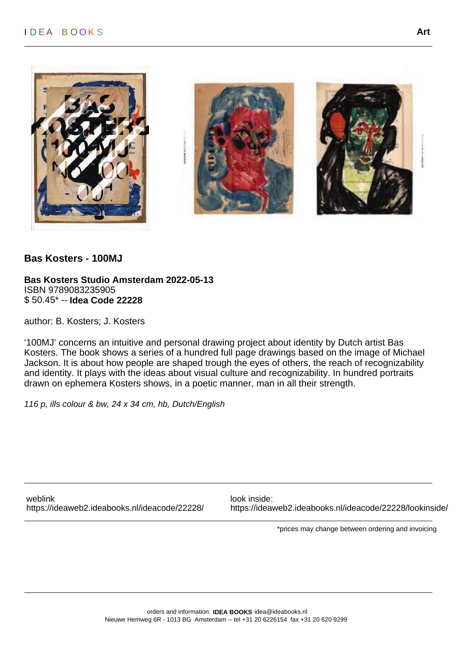

#### **Bas Kosters - 100MJ**

**Bas Kosters Studio Amsterdam 2022-05-13** ISBN 9789083235905 \$ 50.45\* -- **Idea Code 22228**

author: B. Kosters; J. Kosters

'100MJ' concerns an intuitive and personal drawing project about identity by Dutch artist Bas Kosters. The book shows a series of a hundred full page drawings based on the image of Michael Jackson. It is about how people are shaped trough the eyes of others, the reach of recognizability and identity. It plays with the ideas about visual culture and recognizability. In hundred portraits drawn on ephemera Kosters shows, in a poetic manner, man in all their strength.

116 p, ills colour & bw, 24 x 34 cm, hb, Dutch/English

weblink look inside:

<https://ideaweb2.ideabooks.nl/ideacode/22228/> <https://ideaweb2.ideabooks.nl/ideacode/22228/lookinside/>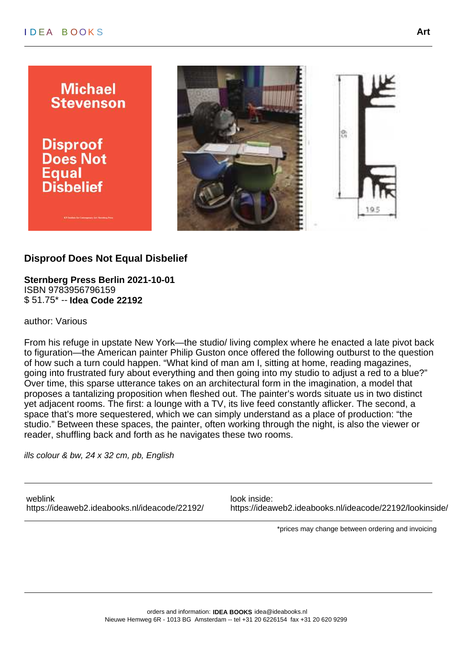# I D EA B O O K S **Art**



# **Disproof Does Not Equal Disbelief**

**Sternberg Press Berlin 2021-10-01** ISBN 9783956796159 \$ 51.75\* -- **Idea Code 22192**

author: Various

From his refuge in upstate New York—the studio/ living complex where he enacted a late pivot back to figuration—the American painter Philip Guston once offered the following outburst to the question of how such a turn could happen. "What kind of man am I, sitting at home, reading magazines, going into frustrated fury about everything and then going into my studio to adjust a red to a blue?" Over time, this sparse utterance takes on an architectural form in the imagination, a model that proposes a tantalizing proposition when fleshed out. The painter's words situate us in two distinct yet adjacent rooms. The first: a lounge with a TV, its live feed constantly aflicker. The second, a space that's more sequestered, which we can simply understand as a place of production: "the studio." Between these spaces, the painter, often working through the night, is also the viewer or reader, shuffling back and forth as he navigates these two rooms.

ills colour & bw, 24 x 32 cm, pb, English

weblink look inside:

<https://ideaweb2.ideabooks.nl/ideacode/22192/> <https://ideaweb2.ideabooks.nl/ideacode/22192/lookinside/>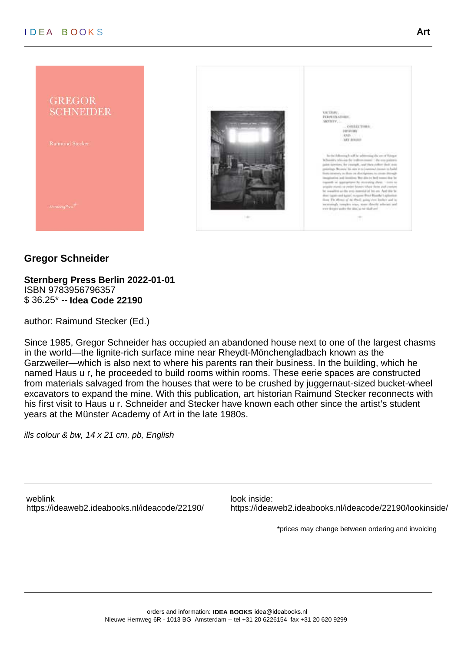

# **Gregor Schneider**

**Sternberg Press Berlin 2022-01-01** ISBN 9783956796357 \$ 36.25\* -- **Idea Code 22190**

author: Raimund Stecker (Ed.)

Since 1985, Gregor Schneider has occupied an abandoned house next to one of the largest chasms in the world—the lignite-rich surface mine near Rheydt-Mönchengladbach known as the Garzweiler—which is also next to where his parents ran their business. In the building, which he named Haus u r, he proceeded to build rooms within rooms. These eerie spaces are constructed from materials salvaged from the houses that were to be crushed by juggernaut-sized bucket-wheel excavators to expand the mine. With this publication, art historian Raimund Stecker reconnects with his first visit to Haus u r. Schneider and Stecker have known each other since the artist's student years at the Münster Academy of Art in the late 1980s.

ills colour & bw, 14 x 21 cm, pb, English

weblink look inside:

<https://ideaweb2.ideabooks.nl/ideacode/22190/> <https://ideaweb2.ideabooks.nl/ideacode/22190/lookinside/>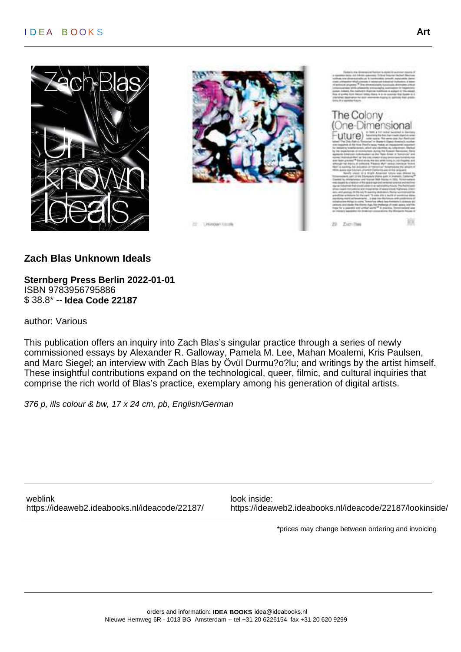



The Colony One-Dimensional uture) -

Zieri Plas  $23$ 

**Zach Blas Unknown Ideals**

**Sternberg Press Berlin 2022-01-01** ISBN 9783956795886 \$ 38.8\* -- **Idea Code 22187**

author: Various

This publication offers an inquiry into Zach Blas's singular practice through a series of newly commissioned essays by Alexander R. Galloway, Pamela M. Lee, Mahan Moalemi, Kris Paulsen, and Marc Siegel; an interview with Zach Blas by Övül Durmu?o?lu; and writings by the artist himself. These insightful contributions expand on the technological, queer, filmic, and cultural inquiries that comprise the rich world of Blas's practice, exemplary among his generation of digital artists.

376 p, ills colour & bw, 17 x 24 cm, pb, English/German

weblink look inside:

<https://ideaweb2.ideabooks.nl/ideacode/22187/> <https://ideaweb2.ideabooks.nl/ideacode/22187/lookinside/>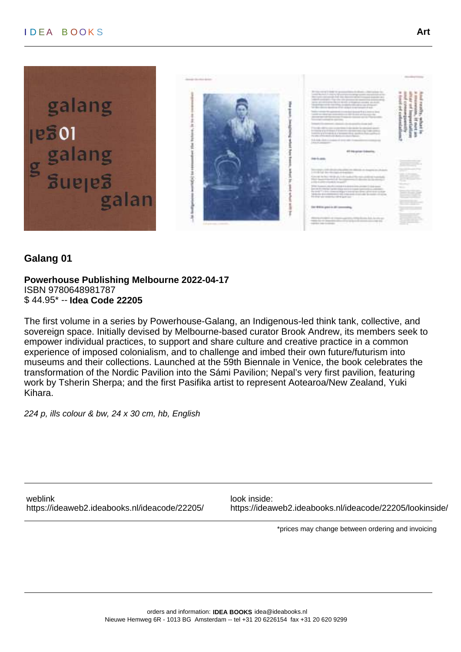

# **Galang 01**

**Powerhouse Publishing Melbourne 2022-04-17** ISBN 9780648981787 \$ 44.95\* -- **Idea Code 22205**

The first volume in a series by Powerhouse-Galang, an Indigenous-led think tank, collective, and sovereign space. Initially devised by Melbourne-based curator Brook Andrew, its members seek to empower individual practices, to support and share culture and creative practice in a common experience of imposed colonialism, and to challenge and imbed their own future/futurism into museums and their collections. Launched at the 59th Biennale in Venice, the book celebrates the transformation of the Nordic Pavilion into the Sámi Pavilion; Nepal's very first pavilion, featuring work by Tsherin Sherpa; and the first Pasifika artist to represent Aotearoa/New Zealand, Yuki Kihara.

224 p, ills colour & bw, 24 x 30 cm, hb, English

weblink look inside:

<https://ideaweb2.ideabooks.nl/ideacode/22205/> <https://ideaweb2.ideabooks.nl/ideacode/22205/lookinside/>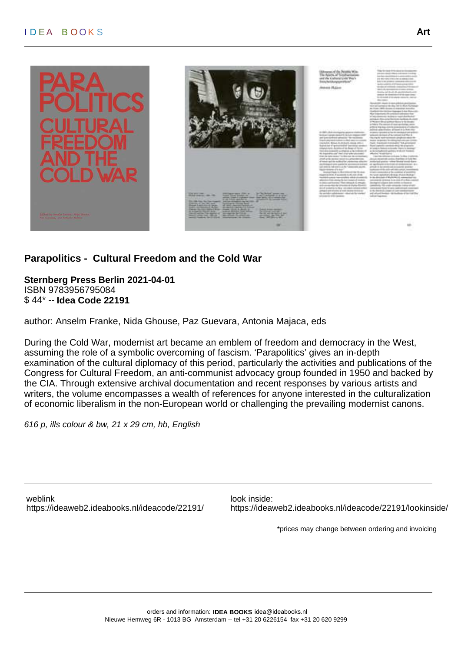



# **Parapolitics - Cultural Freedom and the Cold War**

**Sternberg Press Berlin 2021-04-01** ISBN 9783956795084 \$ 44\* -- **Idea Code 22191**

author: Anselm Franke, Nida Ghouse, Paz Guevara, Antonia Majaca, eds

During the Cold War, modernist art became an emblem of freedom and democracy in the West, assuming the role of a symbolic overcoming of fascism. 'Parapolitics' gives an in-depth examination of the cultural diplomacy of this period, particularly the activities and publications of the Congress for Cultural Freedom, an anti-communist advocacy group founded in 1950 and backed by the CIA. Through extensive archival documentation and recent responses by various artists and writers, the volume encompasses a wealth of references for anyone interested in the culturalization of economic liberalism in the non-European world or challenging the prevailing modernist canons.

616 p, ills colour & bw, 21 x 29 cm, hb, English

weblink look inside:

<https://ideaweb2.ideabooks.nl/ideacode/22191/> <https://ideaweb2.ideabooks.nl/ideacode/22191/lookinside/>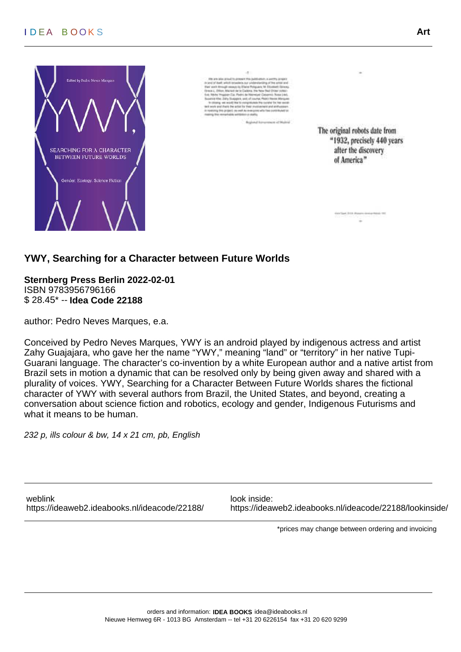### I D EA B O O K S **Art**



The original robots date from "1932, precisely 440 years after the discovery of America"

**YWY, Searching for a Character between Future Worlds**

**Sternberg Press Berlin 2022-02-01** ISBN 9783956796166 \$ 28.45\* -- **Idea Code 22188**

author: Pedro Neves Marques, e.a.

Conceived by Pedro Neves Marques, YWY is an android played by indigenous actress and artist Zahy Guajajara, who gave her the name "YWY," meaning "land" or "territory" in her native Tupi-Guarani language. The character's co-invention by a white European author and a native artist from Brazil sets in motion a dynamic that can be resolved only by being given away and shared with a plurality of voices. YWY, Searching for a Character Between Future Worlds shares the fictional character of YWY with several authors from Brazil, the United States, and beyond, creating a conversation about science fiction and robotics, ecology and gender, Indigenous Futurisms and what it means to be human.

232 p, ills colour & bw, 14 x 21 cm, pb, English

weblink look inside:

<https://ideaweb2.ideabooks.nl/ideacode/22188/> <https://ideaweb2.ideabooks.nl/ideacode/22188/lookinside/>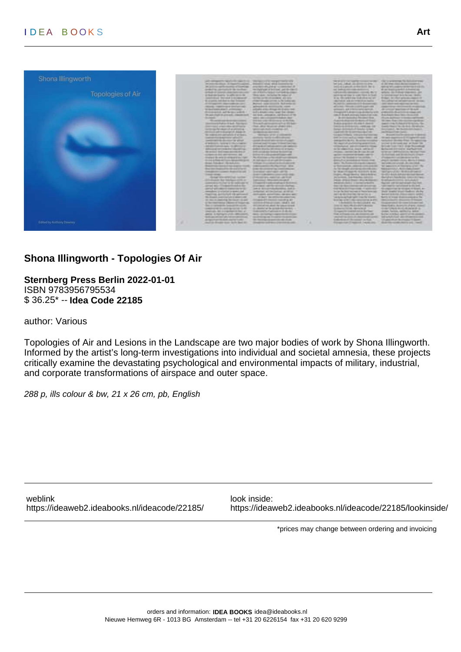

# **Shona Illingworth - Topologies Of Air**

**Sternberg Press Berlin 2022-01-01** ISBN 9783956795534 \$ 36.25\* -- **Idea Code 22185**

author: Various

Topologies of Air and Lesions in the Landscape are two major bodies of work by Shona Illingworth. Informed by the artist's long-term investigations into individual and societal amnesia, these projects critically examine the devastating psychological and environmental impacts of military, industrial, and corporate transformations of airspace and outer space.

288 p, ills colour & bw, 21 x 26 cm, pb, English

weblink look inside:

<https://ideaweb2.ideabooks.nl/ideacode/22185/> <https://ideaweb2.ideabooks.nl/ideacode/22185/lookinside/>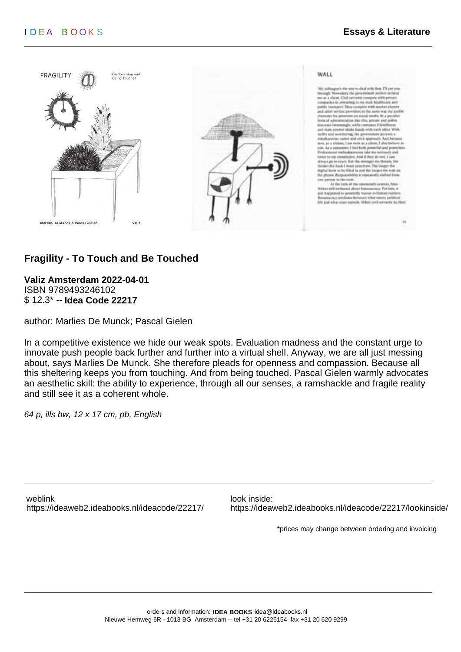

# **Fragility - To Touch and Be Touched**

**Valiz Amsterdam 2022-04-01** ISBN 9789493246102 \$ 12.3\* -- **Idea Code 22217**

author: Marlies De Munck; Pascal Gielen

In a competitive existence we hide our weak spots. Evaluation madness and the constant urge to innovate push people back further and further into a virtual shell. Anyway, we are all just messing about, says Marlies De Munck. She therefore pleads for openness and compassion. Because all this sheltering keeps you from touching. And from being touched. Pascal Gielen warmly advocates an aesthetic skill: the ability to experience, through all our senses, a ramshackle and fragile reality and still see it as a coherent whole.

64 p, ills bw, 12 x 17 cm, pb, English

weblink look inside:

<https://ideaweb2.ideabooks.nl/ideacode/22217/> <https://ideaweb2.ideabooks.nl/ideacode/22217/lookinside/>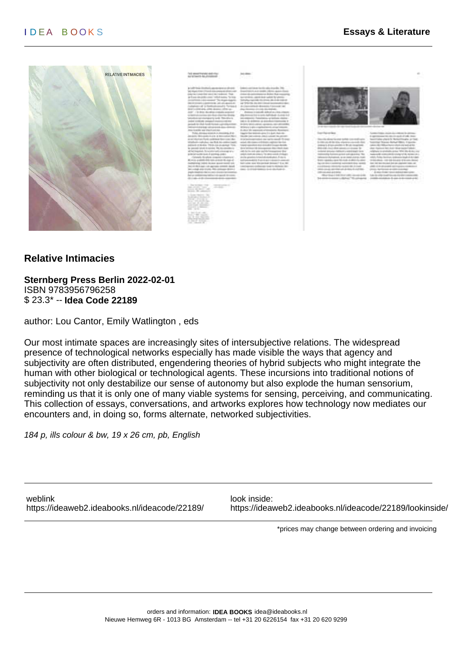





#### **Relative Intimacies**

**Sternberg Press Berlin 2022-02-01** ISBN 9783956796258 \$ 23.3\* -- **Idea Code 22189**

author: Lou Cantor, Emily Watlington , eds

Our most intimate spaces are increasingly sites of intersubjective relations. The widespread presence of technological networks especially has made visible the ways that agency and subjectivity are often distributed, engendering theories of hybrid subjects who might integrate the human with other biological or technological agents. These incursions into traditional notions of subjectivity not only destabilize our sense of autonomy but also explode the human sensorium, reminding us that it is only one of many viable systems for sensing, perceiving, and communicating. This collection of essays, conversations, and artworks explores how technology now mediates our encounters and, in doing so, forms alternate, networked subjectivities.

184 p, ills colour & bw, 19 x 26 cm, pb, English

weblink look inside:

<https://ideaweb2.ideabooks.nl/ideacode/22189/> <https://ideaweb2.ideabooks.nl/ideacode/22189/lookinside/>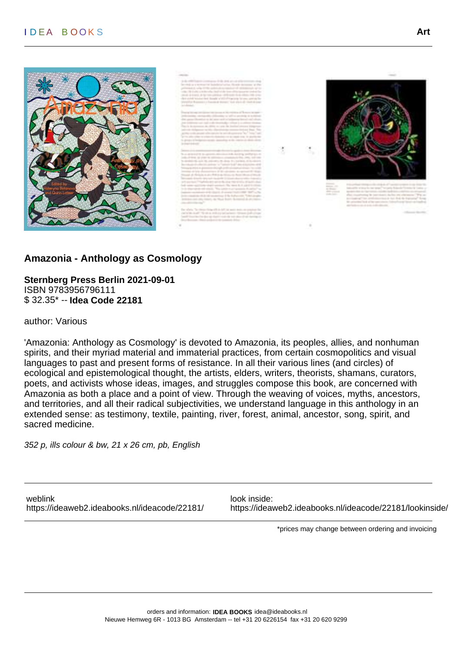### I D EA B O O K S **Art**





### **Amazonia - Anthology as Cosmology**

**Sternberg Press Berlin 2021-09-01** ISBN 9783956796111 \$ 32.35\* -- **Idea Code 22181**

author: Various

'Amazonia: Anthology as Cosmology' is devoted to Amazonia, its peoples, allies, and nonhuman spirits, and their myriad material and immaterial practices, from certain cosmopolitics and visual languages to past and present forms of resistance. In all their various lines (and circles) of ecological and epistemological thought, the artists, elders, writers, theorists, shamans, curators, poets, and activists whose ideas, images, and struggles compose this book, are concerned with Amazonia as both a place and a point of view. Through the weaving of voices, myths, ancestors, and territories, and all their radical subjectivities, we understand language in this anthology in an extended sense: as testimony, textile, painting, river, forest, animal, ancestor, song, spirit, and sacred medicine.

352 p, ills colour & bw, 21 x 26 cm, pb, English

weblink look inside:

<https://ideaweb2.ideabooks.nl/ideacode/22181/> <https://ideaweb2.ideabooks.nl/ideacode/22181/lookinside/>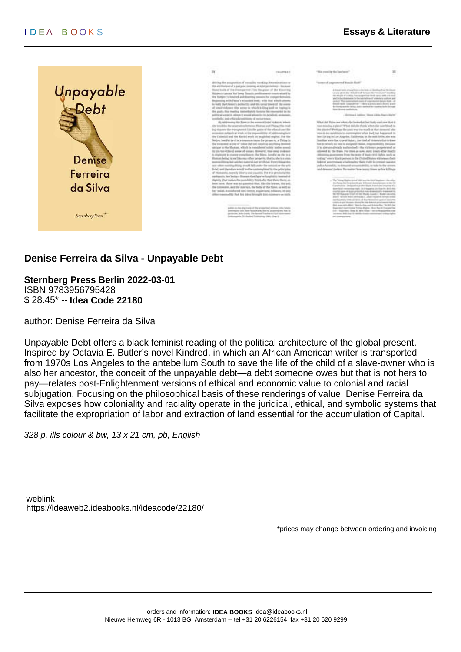

### **Denise Ferreira da Silva - Unpayable Debt**

**Sternberg Press Berlin 2022-03-01** ISBN 9783956795428 \$ 28.45\* -- **Idea Code 22180**

author: Denise Ferreira da Silva

Unpayable Debt offers a black feminist reading of the political architecture of the global present. Inspired by Octavia E. Butler's novel Kindred, in which an African American writer is transported from 1970s Los Angeles to the antebellum South to save the life of the child of a slave-owner who is also her ancestor, the conceit of the unpayable debt—a debt someone owes but that is not hers to pay—relates post-Enlightenment versions of ethical and economic value to colonial and racial subjugation. Focusing on the philosophical basis of these renderings of value, Denise Ferreira da Silva exposes how coloniality and raciality operate in the juridical, ethical, and symbolic systems that facilitate the expropriation of labor and extraction of land essential for the accumulation of Capital.

328 p, ills colour & bw, 13 x 21 cm, pb, English

weblink <https://ideaweb2.ideabooks.nl/ideacode/22180/>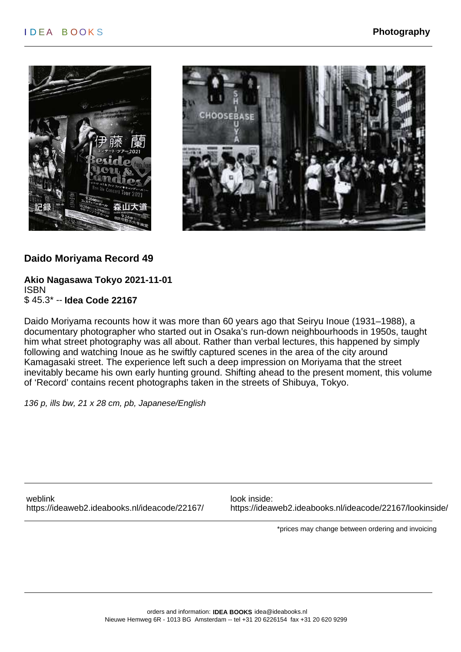



# **Daido Moriyama Record 49**

#### **Akio Nagasawa Tokyo 2021-11-01** ISBN \$ 45.3\* -- **Idea Code 22167**

Daido Moriyama recounts how it was more than 60 years ago that Seiryu Inoue (1931–1988), a documentary photographer who started out in Osaka's run-down neighbourhoods in 1950s, taught him what street photography was all about. Rather than verbal lectures, this happened by simply following and watching Inoue as he swiftly captured scenes in the area of the city around Kamagasaki street. The experience left such a deep impression on Moriyama that the street inevitably became his own early hunting ground. Shifting ahead to the present moment, this volume of 'Record' contains recent photographs taken in the streets of Shibuya, Tokyo.

136 p, ills bw, 21 x 28 cm, pb, Japanese/English

weblink look inside:

<https://ideaweb2.ideabooks.nl/ideacode/22167/> <https://ideaweb2.ideabooks.nl/ideacode/22167/lookinside/>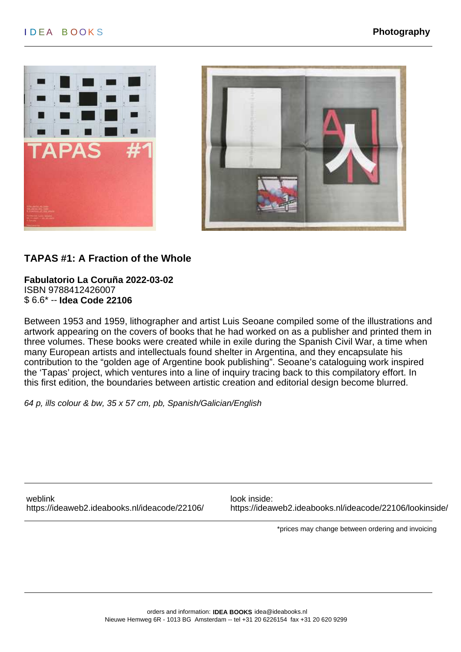



# **TAPAS #1: A Fraction of the Whole**

**Fabulatorio La Coruña 2022-03-02** ISBN 9788412426007 \$ 6.6\* -- **Idea Code 22106**

Between 1953 and 1959, lithographer and artist Luis Seoane compiled some of the illustrations and artwork appearing on the covers of books that he had worked on as a publisher and printed them in three volumes. These books were created while in exile during the Spanish Civil War, a time when many European artists and intellectuals found shelter in Argentina, and they encapsulate his contribution to the "golden age of Argentine book publishing". Seoane's cataloguing work inspired the 'Tapas' project, which ventures into a line of inquiry tracing back to this compilatory effort. In this first edition, the boundaries between artistic creation and editorial design become blurred.

64 p, ills colour & bw, 35 x 57 cm, pb, Spanish/Galician/English

weblink look inside:

<https://ideaweb2.ideabooks.nl/ideacode/22106/> <https://ideaweb2.ideabooks.nl/ideacode/22106/lookinside/>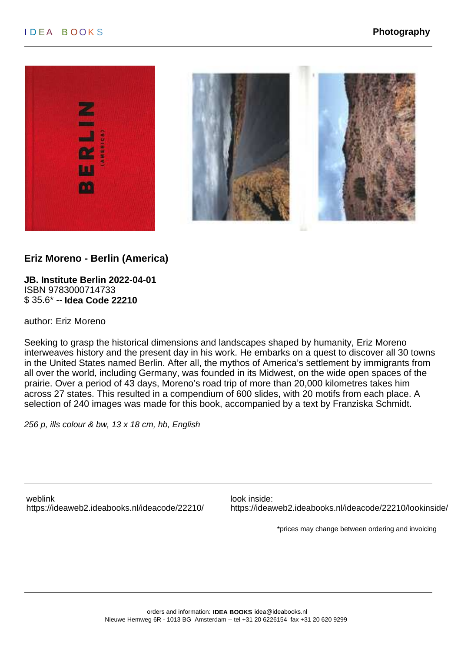



### **Eriz Moreno - Berlin (America)**

**JB. Institute Berlin 2022-04-01** ISBN 9783000714733 \$ 35.6\* -- **Idea Code 22210**

author: Eriz Moreno

Seeking to grasp the historical dimensions and landscapes shaped by humanity, Eriz Moreno interweaves history and the present day in his work. He embarks on a quest to discover all 30 towns in the United States named Berlin. After all, the mythos of America's settlement by immigrants from all over the world, including Germany, was founded in its Midwest, on the wide open spaces of the prairie. Over a period of 43 days, Moreno's road trip of more than 20,000 kilometres takes him across 27 states. This resulted in a compendium of 600 slides, with 20 motifs from each place. A selection of 240 images was made for this book, accompanied by a text by Franziska Schmidt.

256 p, ills colour & bw, 13 x 18 cm, hb, English

weblink look inside:

<https://ideaweb2.ideabooks.nl/ideacode/22210/> <https://ideaweb2.ideabooks.nl/ideacode/22210/lookinside/>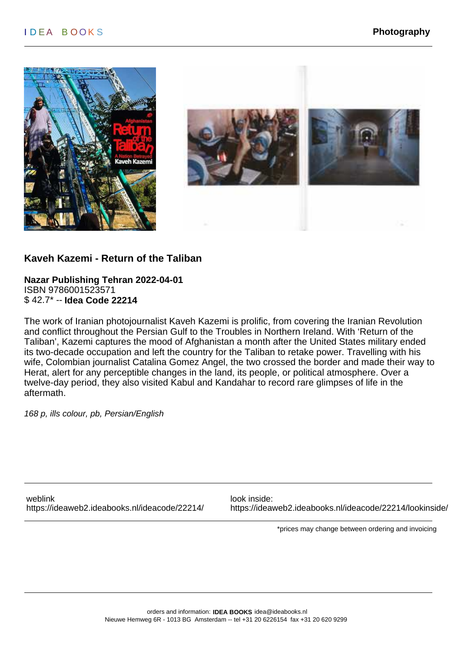



#### **Kaveh Kazemi - Return of the Taliban**

**Nazar Publishing Tehran 2022-04-01** ISBN 9786001523571 \$ 42.7\* -- **Idea Code 22214**

The work of Iranian photojournalist Kaveh Kazemi is prolific, from covering the Iranian Revolution and conflict throughout the Persian Gulf to the Troubles in Northern Ireland. With 'Return of the Taliban', Kazemi captures the mood of Afghanistan a month after the United States military ended its two-decade occupation and left the country for the Taliban to retake power. Travelling with his wife, Colombian journalist Catalina Gomez Angel, the two crossed the border and made their way to Herat, alert for any perceptible changes in the land, its people, or political atmosphere. Over a twelve-day period, they also visited Kabul and Kandahar to record rare glimpses of life in the aftermath.

168 p, ills colour, pb, Persian/English

weblink look inside:

<https://ideaweb2.ideabooks.nl/ideacode/22214/> <https://ideaweb2.ideabooks.nl/ideacode/22214/lookinside/>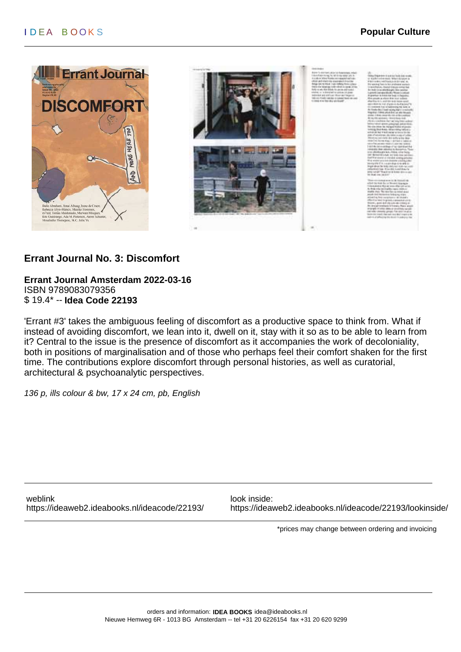

### **Errant Journal No. 3: Discomfort**

**Errant Journal Amsterdam 2022-03-16** ISBN 9789083079356 \$ 19.4\* -- **Idea Code 22193**

'Errant #3' takes the ambiguous feeling of discomfort as a productive space to think from. What if instead of avoiding discomfort, we lean into it, dwell on it, stay with it so as to be able to learn from it? Central to the issue is the presence of discomfort as it accompanies the work of decoloniality, both in positions of marginalisation and of those who perhaps feel their comfort shaken for the first time. The contributions explore discomfort through personal histories, as well as curatorial, architectural & psychoanalytic perspectives.

136 p, ills colour & bw, 17 x 24 cm, pb, English

weblink look inside:

<https://ideaweb2.ideabooks.nl/ideacode/22193/> <https://ideaweb2.ideabooks.nl/ideacode/22193/lookinside/>